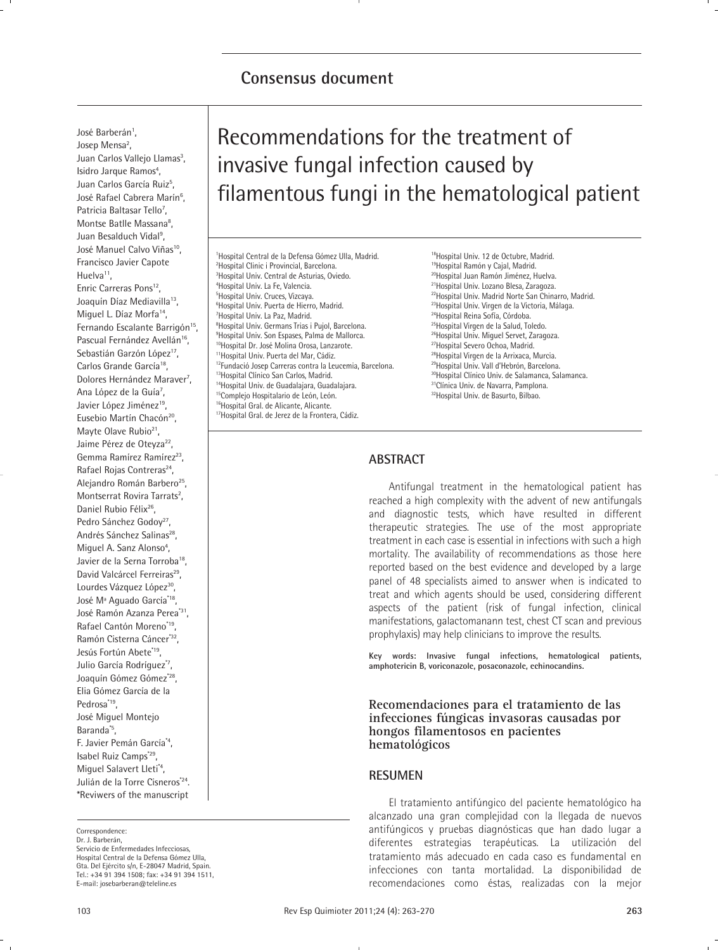# **Consensus document**

José Barberán<sup>1</sup>, Josep Mensa<sup>2</sup>, Juan Carlos Vallejo Llamas<sup>3</sup>, Isidro Jarque Ramos<sup>4</sup>, Juan Carlos García Ruiz<sup>5</sup>, José Rafael Cabrera Marín<sup>6</sup>, Patricia Baltasar Tello<sup>7</sup>, Montse Batlle Massana<sup>8</sup>, Juan Besalduch Vidal<sup>9</sup>, José Manuel Calvo Viñas<sup>10</sup>. Francisco Javier Capote Huelva<sup>11</sup>,

Enric Carreras Pons<sup>12</sup>, Joaquín Díaz Mediavilla<sup>13</sup>, Miguel L. Díaz Morfa<sup>14</sup>, Fernando Escalante Barrigón<sup>15</sup>, Pascual Fernández Avellán<sup>16</sup>, Sebastián Garzón López<sup>17</sup>, Carlos Grande García<sup>18</sup>, Dolores Hernández Maraver<sup>7</sup>, Ana López de la Guía<sup>7</sup>, Javier López Jiménez<sup>19</sup>, Eusebio Martín Chacón<sup>20</sup>, Mayte Olave Rubio<sup>21</sup>, Jaime Pérez de Oteyza<sup>22</sup>, Gemma Ramírez Ramírez<sup>23</sup>. Rafael Rojas Contreras<sup>24</sup>, Alejandro Román Barbero<sup>25</sup>, Montserrat Rovira Tarrats<sup>2</sup>, Daniel Rubio Félix<sup>26</sup>, Pedro Sánchez Godov<sup>27</sup> Andrés Sánchez Salinas<sup>28</sup>, Miguel A. Sanz Alonso<sup>4</sup>, Javier de la Serna Torroba<sup>18</sup>, David Valcárcel Ferreiras<sup>29</sup>, Lourdes Vázquez López<sup>30</sup>, José Mª Aguado García\*18, José Ramón Azanza Perea\*31, Rafael Cantón Moreno\*19, Ramón Cisterna Cáncer\*32, Jesús Fortún Abete<sup>\*19</sup>, Julio García Rodríguez\*7, Joaquín Gómez Gómez<sup>\*28</sup>, Elia Gómez García de la Pedrosa\*<sup>19</sup>. José Miguel Montejo Baranda\*5, F. Javier Pemán García\*4, Isabel Ruiz Camps\*29, Miguel Salavert Lleti\*4, Julián de la Torre Cisneros\*24. \*Reviwers of the manuscript

Dr. J. Barberán, Servicio de Enfermedades Infecciosas, Hospital Central de la Defensa Gómez Ulla, Gta. Del Ejército s/n, E-28047 Madrid, Spain. Tel.: +34 91 394 1508; fax: +34 91 394 1511, E-mail: josebarberan@teleline.es

# Recommendations for the treatment of invasive fungal infection caused by filamentous fungi in the hematological patient

1 Hospital Central de la Defensa Gómez Ulla, Madrid. 2 Hospital Clinic i Provincial, Barcelona. 3 Hospital Univ. Central de Asturias, Oviedo. 4 Hospital Univ. La Fe, Valencia. 5 Hospital Univ. Cruces, Vizcaya. 6 Hospital Univ. Puerta de Hierro, Madrid. 7 Hospital Univ. La Paz, Madrid. 8 Hospital Univ. Germans Trias i Pujol, Barcelona. 9 Hospital Univ. Son Espases, Palma de Mallorca. <sup>10</sup>Hospital Dr. José Molina Orosa, Lanzarote. 11Hospital Univ. Puerta del Mar, Cádiz. <sup>12</sup>Fundació Josep Carreras contra la Leucemia, Barcelona. 13Hospital Clínico San Carlos, Madrid. 14Hospital Univ. de Guadalajara, Guadalajara. <sup>15</sup>Complejo Hospitalario de León, León. <sup>16</sup>Hospital Gral. de Alicante, Alicante. <sup>17</sup>Hospital Gral. de Jerez de la Frontera, Cádiz.

18Hospital Univ. 12 de Octubre, Madrid. <sup>19</sup>Hospital Ramón y Cajal, Madrid. 20Hospital Juan Ramón Jiménez, Huelva. 21Hospital Univ. Lozano Blesa, Zaragoza. 22Hospital Univ. Madrid Norte San Chinarro, Madrid. <sup>23</sup>Hospital Univ. Virgen de la Victoria, Málaga. 24Hospital Reina Sofía, Córdoba. <sup>25</sup>Hospital Virgen de la Salud, Toledo. 26Hospital Univ. Miguel Servet, Zaragoza. 27Hospital Severo Ochoa, Madrid. 28Hospital Virgen de la Arrixaca, Murcia. 29Hospital Univ. Vall d'Hebrón, Barcelona. 30Hospital Clínico Univ. de Salamanca, Salamanca. <sup>31</sup>Clínica Univ. de Navarra, Pamplona. 32Hospital Univ. de Basurto, Bilbao.

# **ABSTRACT**

Antifungal treatment in the hematological patient has reached a high complexity with the advent of new antifungals and diagnostic tests, which have resulted in different therapeutic strategies. The use of the most appropriate treatment in each case is essential in infections with such a high mortality. The availability of recommendations as those here reported based on the best evidence and developed by a large panel of 48 specialists aimed to answer when is indicated to treat and which agents should be used, considering different aspects of the patient (risk of fungal infection, clinical manifestations, galactomanann test, chest CT scan and previous prophylaxis) may help clinicians to improve the results.

**Key words: Invasive fungal infections, hematological patients, amphotericin B, voriconazole, posaconazole, echinocandins.** 

**Recomendaciones para el tratamiento de las infecciones fúngicas invasoras causadas por hongos filamentosos en pacientes hematológicos**

### **RESUMEN**

El tratamiento antifúngico del paciente hematológico ha alcanzado una gran complejidad con la llegada de nuevos antifúngicos y pruebas diagnósticas que han dado lugar a diferentes estrategias terapéuticas. La utilización del tratamiento más adecuado en cada caso es fundamental en infecciones con tanta mortalidad. La disponibilidad de recomendaciones como éstas, realizadas con la mejor

Correspondence: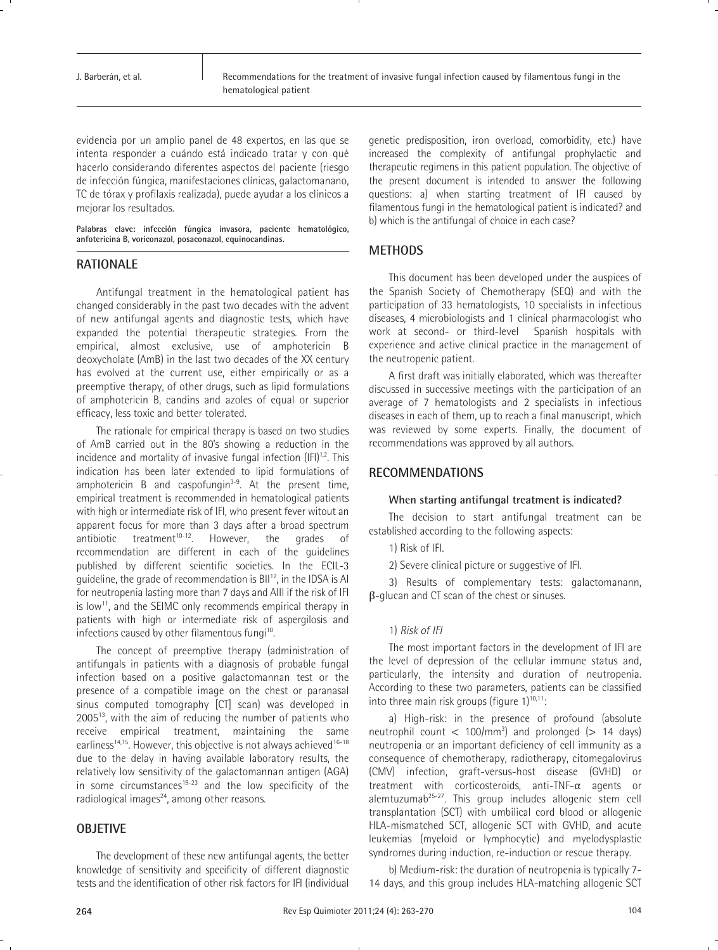evidencia por un amplio panel de 48 expertos, en las que se intenta responder a cuándo está indicado tratar y con qué hacerlo considerando diferentes aspectos del paciente (riesgo de infección fúngica, manifestaciones clínicas, galactomanano, TC de tórax y profilaxis realizada), puede ayudar a los clínicos a mejorar los resultados.

**Palabras clave: infección fúngica invasora, paciente hematológico, anfotericina B, voriconazol, posaconazol, equinocandinas.**

# **RATIONALE**

Antifungal treatment in the hematological patient has changed considerably in the past two decades with the advent of new antifungal agents and diagnostic tests, which have expanded the potential therapeutic strategies. From the empirical, almost exclusive, use of amphotericin B deoxycholate (AmB) in the last two decades of the XX century has evolved at the current use, either empirically or as a preemptive therapy, of other drugs, such as lipid formulations of amphotericin B, candins and azoles of equal or superior efficacy, less toxic and better tolerated.

The rationale for empirical therapy is based on two studies of AmB carried out in the 80's showing a reduction in the incidence and mortality of invasive fungal infection  $(IFI)^{1,2}$ . This indication has been later extended to lipid formulations of amphotericin B and caspofungin $3-9$ . At the present time, empirical treatment is recommended in hematological patients with high or intermediate risk of IFI, who present fever witout an apparent focus for more than 3 days after a broad spectrum antibiotic treatment<sup>10-12</sup>. However, the grades of recommendation are different in each of the guidelines published by different scientific societies. In the ECIL-3 guideline, the grade of recommendation is BII12, in the IDSA is AI for neutropenia lasting more than 7 days and AIII if the risk of IFI is low<sup>11</sup>, and the SEIMC only recommends empirical therapy in patients with high or intermediate risk of aspergilosis and infections caused by other filamentous fungi<sup>10</sup>.

The concept of preemptive therapy (administration of antifungals in patients with a diagnosis of probable fungal infection based on a positive galactomannan test or the presence of a compatible image on the chest or paranasal sinus computed tomography [CT] scan) was developed in 200513, with the aim of reducing the number of patients who receive empirical treatment, maintaining the same earliness<sup>14,15</sup>. However, this objective is not always achieved<sup>16-18</sup> due to the delay in having available laboratory results, the relatively low sensitivity of the galactomannan antigen (AGA) in some circumstances<sup>19-23</sup> and the low specificity of the radiological images $^{24}$ , among other reasons.

# **OBJETIVE**

The development of these new antifungal agents, the better knowledge of sensitivity and specificity of different diagnostic tests and the identification of other risk factors for IFI (individual genetic predisposition, iron overload, comorbidity, etc.) have increased the complexity of antifungal prophylactic and therapeutic regimens in this patient population. The objective of the present document is intended to answer the following questions: a) when starting treatment of IFI caused by filamentous fungi in the hematological patient is indicated? and b) which is the antifungal of choice in each case?

# **METHODS**

This document has been developed under the auspices of the Spanish Society of Chemotherapy (SEQ) and with the participation of 33 hematologists, 10 specialists in infectious diseases, 4 microbiologists and 1 clinical pharmacologist who work at second- or third-level Spanish hospitals with experience and active clinical practice in the management of the neutropenic patient.

A first draft was initially elaborated, which was thereafter discussed in successive meetings with the participation of an average of 7 hematologists and 2 specialists in infectious diseases in each of them, up to reach a final manuscript, which was reviewed by some experts. Finally, the document of recommendations was approved by all authors.

# **RECOMMENDATIONS**

#### **When starting antifungal treatment is indicated?**

The decision to start antifungal treatment can be established according to the following aspects:

1) Risk of IFI.

2) Severe clinical picture or suggestive of IFI.

3) Results of complementary tests: galactomanann, β-glucan and CT scan of the chest or sinuses.

#### 1) *Risk of IFI*

The most important factors in the development of IFI are the level of depression of the cellular immune status and, particularly, the intensity and duration of neutropenia. According to these two parameters, patients can be classified into three main risk groups (figure  $1)^{10,11}$ :

a) High-risk: in the presence of profound (absolute neutrophil count  $<$  100/mm<sup>3</sup>) and prolonged ( $>$  14 days) neutropenia or an important deficiency of cell immunity as a consequence of chemotherapy, radiotherapy, citomegalovirus (CMV) infection, graft-versus-host disease (GVHD) or treatment with corticosteroids, anti-TNF-α agents or alemtuzumab25-27. This group includes allogenic stem cell transplantation (SCT) with umbilical cord blood or allogenic HLA-mismatched SCT, allogenic SCT with GVHD, and acute leukemias (myeloid or lymphocytic) and myelodysplastic syndromes during induction, re-induction or rescue therapy.

b) Medium-risk: the duration of neutropenia is typically 7- 14 days, and this group includes HLA-matching allogenic SCT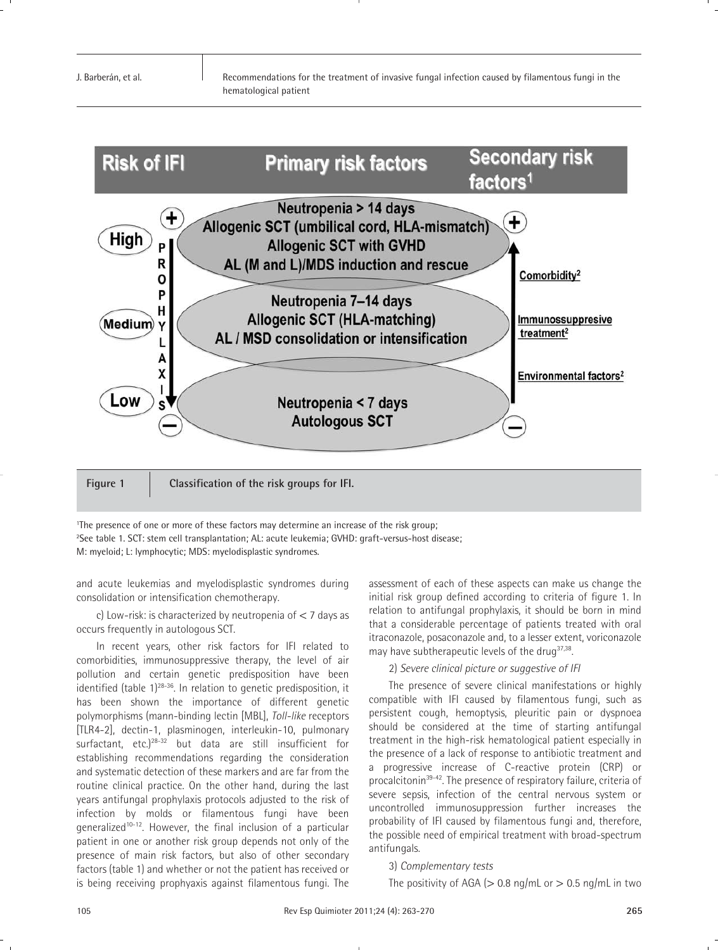

1The presence of one or more of these factors may determine an increase of the risk group; 2See table 1. SCT: stem cell transplantation; AL: acute leukemia; GVHD: graft-versus-host disease; M: myeloid; L: lymphocytic; MDS: myelodisplastic syndromes.

and acute leukemias and myelodisplastic syndromes during consolidation or intensification chemotherapy.

c) Low-risk: is characterized by neutropenia of < 7 days as occurs frequently in autologous SCT.

In recent years, other risk factors for IFI related to comorbidities, immunosuppressive therapy, the level of air pollution and certain genetic predisposition have been identified (table  $1$ )<sup>28-36</sup>. In relation to genetic predisposition, it has been shown the importance of different genetic polymorphisms (mann-binding lectin [MBL], *Toll-like* receptors [TLR4-2], dectin-1, plasminogen, interleukin-10, pulmonary surfactant, etc.)28-32 but data are still insufficient for establishing recommendations regarding the consideration and systematic detection of these markers and are far from the routine clinical practice. On the other hand, during the last years antifungal prophylaxis protocols adjusted to the risk of infection by molds or filamentous fungi have been generalized<sup>10-12</sup>. However, the final inclusion of a particular patient in one or another risk group depends not only of the presence of main risk factors, but also of other secondary factors (table 1) and whether or not the patient has received or is being receiving prophyaxis against filamentous fungi. The

assessment of each of these aspects can make us change the initial risk group defined according to criteria of figure 1. In relation to antifungal prophylaxis, it should be born in mind that a considerable percentage of patients treated with oral itraconazole, posaconazole and, to a lesser extent, voriconazole may have subtherapeutic levels of the drug $37,38$ .

# 2) *Severe clinical picture or suggestive of IFI*

The presence of severe clinical manifestations or highly compatible with IFI caused by filamentous fungi, such as persistent cough, hemoptysis, pleuritic pain or dyspnoea should be considered at the time of starting antifungal treatment in the high-risk hematological patient especially in the presence of a lack of response to antibiotic treatment and a progressive increase of C-reactive protein (CRP) or procalcitonin<sup>39-42</sup>. The presence of respiratory failure, criteria of severe sepsis, infection of the central nervous system or uncontrolled immunosuppression further increases the probability of IFI caused by filamentous fungi and, therefore, the possible need of empirical treatment with broad-spectrum antifungals.

# 3) *Complementary tests*

The positivity of AGA ( $> 0.8$  ng/mL or  $> 0.5$  ng/mL in two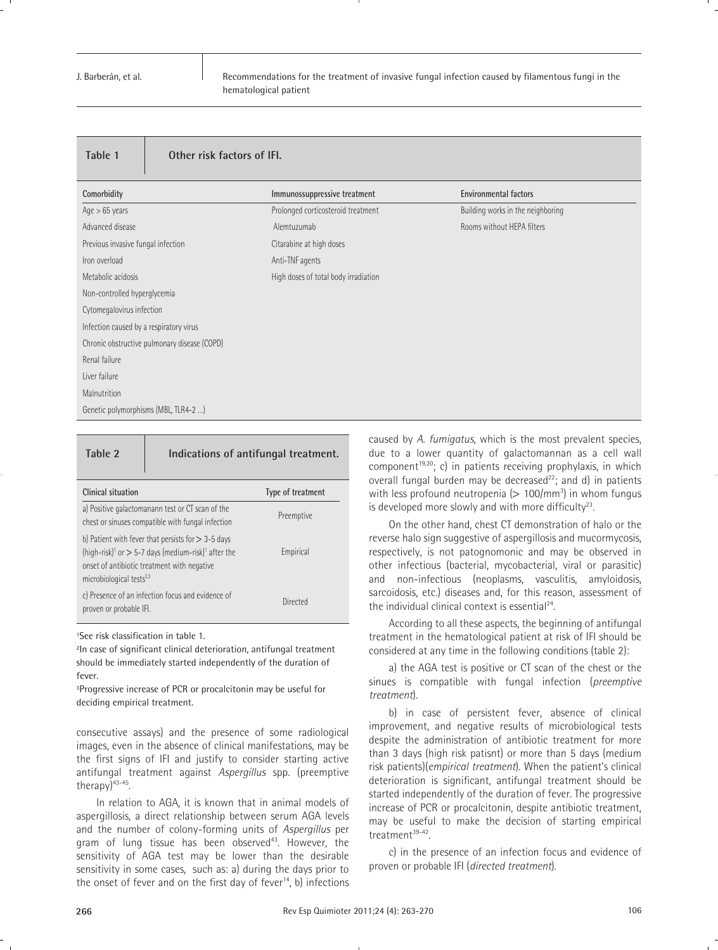Recommendations for the treatment of invasive fungal infection caused by filamentous fungi in the hematological patient

| Other risk factors of IFI.<br>Table 1        |                                      |                                   |
|----------------------------------------------|--------------------------------------|-----------------------------------|
| Comorbidity                                  | Immunossuppressive treatment         | <b>Environmental factors</b>      |
| $Age > 65$ years                             | Prolonged corticosteroid treatment   | Building works in the neighboring |
| Advanced disease                             | Alemtuzumab                          | Rooms without HEPA filters        |
| Previous invasive fungal infection           | Citarabine at high doses             |                                   |
| Iron overload                                | Anti-TNF agents                      |                                   |
| Metabolic acidosis                           | High doses of total body irradiation |                                   |
| Non-controlled hyperglycemia                 |                                      |                                   |
| Cytomegalovirus infection                    |                                      |                                   |
| Infection caused by a respiratory virus      |                                      |                                   |
| Chronic obstructive pulmonary disease (COPD) |                                      |                                   |
| Renal failure                                |                                      |                                   |
| Liver failure                                |                                      |                                   |
| Malnutrition                                 |                                      |                                   |
| Genetic polymorphisms (MBL, TLR4-2 )         |                                      |                                   |

**Table 2 Indications of antifungal treatment.**

| Clinical situation                                                                                                                                                                                                           | Type of treatment |
|------------------------------------------------------------------------------------------------------------------------------------------------------------------------------------------------------------------------------|-------------------|
| a) Positive galactomanann test or CT scan of the<br>chest or sinuses compatible with fungal infection                                                                                                                        | Preemptive        |
| b) Patient with fever that persists for $>$ 3-5 days<br>(high-risk) <sup>1</sup> or $>$ 5-7 days (medium-risk) <sup>1</sup> after the<br>onset of antibiotic treatment with negative<br>microbiological tests <sup>2,3</sup> | Empirical         |
| c) Presence of an infection focus and evidence of<br>proven or probable IFI.                                                                                                                                                 | Directed          |

1See risk classification in table 1.

2In case of significant clinical deterioration, antifungal treatment should be immediately started independently of the duration of fever.

3Progressive increase of PCR or procalcitonin may be useful for deciding empirical treatment.

consecutive assays) and the presence of some radiological images, even in the absence of clinical manifestations, may be the first signs of IFI and justify to consider starting active antifungal treatment against *Aspergillus* spp. (preemptive therapy)43-45.

In relation to AGA, it is known that in animal models of aspergillosis, a direct relationship between serum AGA levels and the number of colony-forming units of *Aspergillus* per gram of lung tissue has been observed<sup>43</sup>. However, the sensitivity of AGA test may be lower than the desirable sensitivity in some cases, such as: a) during the days prior to the onset of fever and on the first day of fever<sup>14</sup>, b) infections caused by *A. fumigatus*, which is the most prevalent species, due to a lower quantity of galactomannan as a cell wall component<sup>19,20</sup>; c) in patients receiving prophylaxis, in which overall fungal burden may be decreased<sup>22</sup>; and d) in patients with less profound neutropenia  $(> 100/mm^3)$  in whom fungus is developed more slowly and with more difficulty<sup>23</sup>.

On the other hand, chest CT demonstration of halo or the reverse halo sign suggestive of aspergillosis and mucormycosis, respectively, is not patognomonic and may be observed in other infectious (bacterial, mycobacterial, viral or parasitic) and non-infectious (neoplasms, vasculitis, amyloidosis, sarcoidosis, etc.) diseases and, for this reason, assessment of the individual clinical context is essential $24$ .

According to all these aspects, the beginning of antifungal treatment in the hematological patient at risk of IFI should be considered at any time in the following conditions (table 2):

a) the AGA test is positive or CT scan of the chest or the sinues is compatible with fungal infection (*preemptive treatment*).

b) in case of persistent fever, absence of clinical improvement, and negative results of microbiological tests despite the administration of antibiotic treatment for more than 3 days (high risk patisnt) or more than 5 days (medium risk patients)(*empirical treatment*). When the patient's clinical deterioration is significant, antifungal treatment should be started independently of the duration of fever. The progressive increase of PCR or procalcitonin, despite antibiotic treatment, may be useful to make the decision of starting empirical treatment<sup>39-42</sup>.

c) in the presence of an infection focus and evidence of proven or probable IFI (*directed treatment*).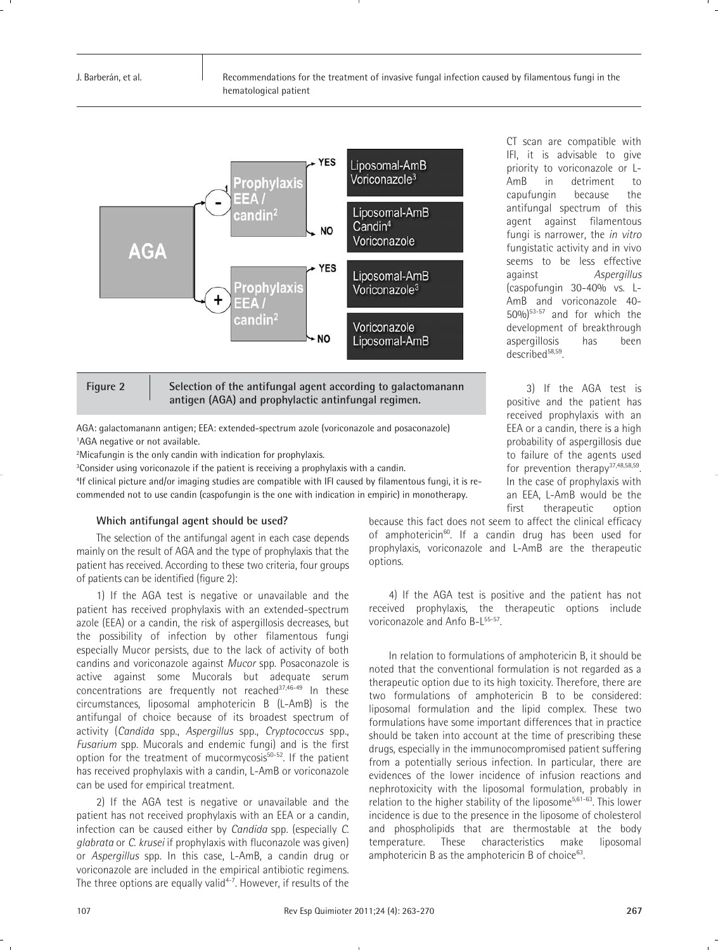



Figure 2 Selection of the antifungal agent according to galactomanann **antigen (AGA) and prophylactic antinfungal regimen.**

AGA: galactomanann antigen; EEA: extended-spectrum azole (voriconazole and posaconazole) <sup>1</sup>AGA negative or not available.

2Micafungin is the only candin with indication for prophylaxis.

<sup>3</sup>Consider using voriconazole if the patient is receiving a prophylaxis with a candin.

4If clinical picture and/or imaging studies are compatible with IFI caused by filamentous fungi, it is recommended not to use candin (caspofungin is the one with indication in empiric) in monotherapy.

#### **Which antifungal agent should be used?**

The selection of the antifungal agent in each case depends mainly on the result of AGA and the type of prophylaxis that the patient has received. According to these two criteria, four groups of patients can be identified (figure 2):

1) If the AGA test is negative or unavailable and the patient has received prophylaxis with an extended-spectrum azole (EEA) or a candin, the risk of aspergillosis decreases, but the possibility of infection by other filamentous fungi especially Mucor persists, due to the lack of activity of both candins and voriconazole against *Mucor* spp. Posaconazole is active against some Mucorals but adequate serum concentrations are frequently not reached<sup>37,46-49</sup> In these circumstances, liposomal amphotericin B (L-AmB) is the antifungal of choice because of its broadest spectrum of activity (*Candida* spp., *Aspergillus* spp., *Cryptococcus* spp., *Fusarium* spp. Mucorals and endemic fungi) and is the first option for the treatment of mucormycosis $50-52$ . If the patient has received prophylaxis with a candin, L-AmB or voriconazole can be used for empirical treatment.

2) If the AGA test is negative or unavailable and the patient has not received prophylaxis with an EEA or a candin, infection can be caused either by *Candida* spp. (especially *C. glabrata* or *C. krusei* if prophylaxis with fluconazole was given) or *Aspergillus* spp. In this case, L-AmB, a candin drug or voriconazole are included in the empirical antibiotic regimens. The three options are equally valid<sup>4-7</sup>. However, if results of the

because this fact does not seem to affect the clinical efficacy of amphotericin<sup>60</sup>. If a candin drug has been used for prophylaxis, voriconazole and L-AmB are the therapeutic options.

described<sup>58,59</sup>.

3) If the AGA test is positive and the patient has received prophylaxis with an EEA or a candin, there is a high probability of aspergillosis due to failure of the agents used for prevention therapy $37,48,58,59$ . In the case of prophylaxis with an EEA, L-AmB would be the first therapeutic option

CT scan are compatible with IFI, it is advisable to give priority to voriconazole or L-AmB in detriment to capufungin because the antifungal spectrum of this agent against filamentous fungi is narrower, the *in vitro* fungistatic activity and in vivo seems to be less effective against *Aspergillus* (caspofungin 30-40% vs. L-AmB and voriconazole 40- 50%)53-57 and for which the development of breakthrough aspergillosis has been

4) If the AGA test is positive and the patient has not received prophylaxis, the therapeutic options include voriconazole and Anfo B-L<sup>55-57</sup>.

In relation to formulations of amphotericin B, it should be noted that the conventional formulation is not regarded as a therapeutic option due to its high toxicity. Therefore, there are two formulations of amphotericin B to be considered: liposomal formulation and the lipid complex. These two formulations have some important differences that in practice should be taken into account at the time of prescribing these drugs, especially in the immunocompromised patient suffering from a potentially serious infection. In particular, there are evidences of the lower incidence of infusion reactions and nephrotoxicity with the liposomal formulation, probably in relation to the higher stability of the liposome<sup>5,61-63</sup>. This lower incidence is due to the presence in the liposome of cholesterol and phospholipids that are thermostable at the body temperature. These characteristics make liposomal amphotericin B as the amphotericin B of choice $^{63}$ .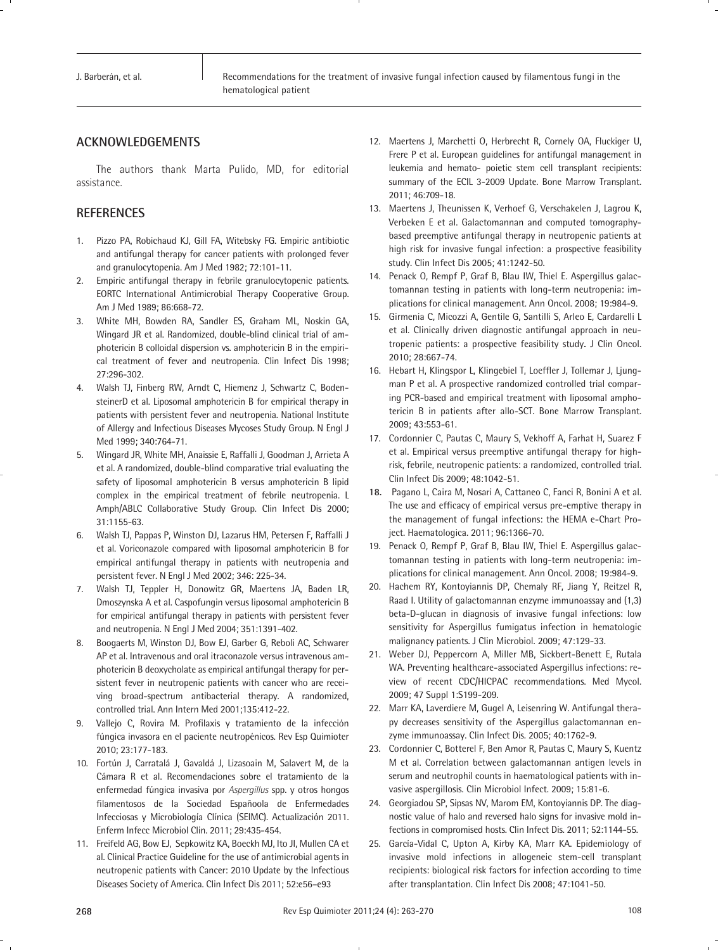# **ACKNOWLEDGEMENTS**

The authors thank Marta Pulido, MD, for editorial assistance.

### **REFERENCES**

- 1. Pizzo PA, Robichaud KJ, Gill FA, Witebsky FG. Empiric antibiotic and antifungal therapy for cancer patients with prolonged fever and granulocytopenia. Am J Med 1982; 72:101-11.
- 2. Empiric antifungal therapy in febrile granulocytopenic patients. EORTC International Antimicrobial Therapy Cooperative Group. Am J Med 1989; 86:668-72.
- 3. White MH, Bowden RA, Sandler ES, Graham ML, Noskin GA, Wingard JR et al. Randomized, double-blind clinical trial of amphotericin B colloidal dispersion vs. amphotericin B in the empirical treatment of fever and neutropenia. Clin Infect Dis 1998; 27:296-302.
- 4. Walsh TJ, Finberg RW, Arndt C, Hiemenz J, Schwartz C, BodensteinerD et al. Liposomal amphotericin B for empirical therapy in patients with persistent fever and neutropenia. National Institute of Allergy and Infectious Diseases Mycoses Study Group. N Engl J Med 1999; 340:764-71.
- 5. Wingard JR, White MH, Anaissie E, Raffalli J, Goodman J, Arrieta A et al. A randomized, double-blind comparative trial evaluating the safety of liposomal amphotericin B versus amphotericin B lipid complex in the empirical treatment of febrile neutropenia. L Amph/ABLC Collaborative Study Group. Clin Infect Dis 2000; 31:1155-63.
- 6. Walsh TJ, Pappas P, Winston DJ, Lazarus HM, Petersen F, Raffalli J et al. Voriconazole compared with liposomal amphotericin B for empirical antifungal therapy in patients with neutropenia and persistent fever. N Engl J Med 2002; 346: 225-34.
- 7. Walsh TJ, Teppler H, Donowitz GR, Maertens JA, Baden LR, Dmoszynska A et al. Caspofungin versus liposomal amphotericin B for empirical antifungal therapy in patients with persistent fever and neutropenia. N Engl J Med 2004; 351:1391-402.
- 8. Boogaerts M, Winston DJ, Bow EJ, Garber G, Reboli AC, Schwarer AP et al. Intravenous and oral itraconazole versus intravenous amphotericin B deoxycholate as empirical antifungal therapy for persistent fever in neutropenic patients with cancer who are receiving broad-spectrum antibacterial therapy. A randomized, controlled trial. Ann Intern Med 2001;135:412-22.
- 9. Vallejo C, Rovira M. Profilaxis y tratamiento de la infección fúngica invasora en el paciente neutropénicos. Rev Esp Quimioter 2010; 23:177-183.
- 10. Fortún J, Carratalá J, Gavaldá J, Lizasoain M, Salavert M, de la Cámara R et al. Recomendaciones sobre el tratamiento de la enfermedad fúngica invasiva por *Aspergillus* spp. y otros hongos filamentosos de la Sociedad Españoola de Enfermedades Infecciosas y Microbiología Clínica (SEIMC). Actualización 2011. Enferm Infecc Microbiol Clin. 2011; 29:435-454.
- 11. Freifeld AG, Bow EJ, Sepkowitz KA, Boeckh MJ, Ito JI, Mullen CA et al. Clinical Practice Guideline for the use of antimicrobial agents in neutropenic patients with Cancer: 2010 Update by the Infectious Diseases Society of America. Clin Infect Dis 2011; 52:e56–e93
- 12. Maertens J, Marchetti O, Herbrecht R, Cornely OA, Fluckiger U, Frere P et al. European guidelines for antifungal management in leukemia and hemato- poietic stem cell transplant recipients: summary of the ECIL 3-2009 Update. Bone Marrow Transplant. 2011; 46:709-18.
- 13. Maertens J, Theunissen K, Verhoef G, Verschakelen J, Lagrou K, Verbeken E et al. Galactomannan and computed tomographybased preemptive antifungal therapy in neutropenic patients at high risk for invasive fungal infection: a prospective feasibility study. Clin Infect Dis 2005; 41:1242-50.
- 14. Penack O, Rempf P, Graf B, Blau IW, Thiel E. Aspergillus galactomannan testing in patients with long-term neutropenia: implications for clinical management. Ann Oncol. 2008; 19:984-9.
- 15. Girmenia C, Micozzi A, Gentile G, Santilli S, Arleo E, Cardarelli L et al. Clinically driven diagnostic antifungal approach in neutropenic patients: a prospective feasibility study**.** J Clin Oncol. 2010; 28:667-74.
- 16. Hebart H, Klingspor L, Klingebiel T, Loeffler J, Tollemar J, Ljungman P et al. A prospective randomized controlled trial comparing PCR-based and empirical treatment with liposomal amphotericin B in patients after allo-SCT. Bone Marrow Transplant. 2009; 43:553-61.
- 17. Cordonnier C, Pautas C, Maury S, Vekhoff A, Farhat H, Suarez F et al. Empirical versus preemptive antifungal therapy for highrisk, febrile, neutropenic patients: a randomized, controlled trial. Clin Infect Dis 2009; 48:1042-51.
- **18.** Pagano L, Caira M, Nosari A, Cattaneo C, Fanci R, Bonini A et al. The use and efficacy of empirical versus pre-emptive therapy in the management of fungal infections: the HEMA e-Chart Project. Haematologica. 2011; 96:1366-70.
- 19. Penack O, Rempf P, Graf B, Blau IW, Thiel E. Aspergillus galactomannan testing in patients with long-term neutropenia: implications for clinical management. Ann Oncol. 2008; 19:984-9.
- 20. Hachem RY, Kontoyiannis DP, Chemaly RF, Jiang Y, Reitzel R, Raad I. Utility of galactomannan enzyme immunoassay and (1,3) beta-D-glucan in diagnosis of invasive fungal infections: low sensitivity for Aspergillus fumigatus infection in hematologic malignancy patients. J Clin Microbiol. 2009; 47:129-33.
- 21. Weber DJ, Peppercorn A, Miller MB, Sickbert-Benett E, Rutala WA. Preventing healthcare-associated Aspergillus infections: review of recent CDC/HICPAC recommendations. Med Mycol. 2009; 47 Suppl 1:S199-209.
- 22. Marr KA, Laverdiere M, Gugel A, Leisenring W. Antifungal therapy decreases sensitivity of the Aspergillus galactomannan enzyme immunoassay. Clin Infect Dis. 2005; 40:1762-9.
- 23. Cordonnier C, Botterel F, Ben Amor R, Pautas C, Maury S, Kuentz M et al. Correlation between galactomannan antigen levels in serum and neutrophil counts in haematological patients with invasive aspergillosis. Clin Microbiol Infect. 2009; 15:81-6.
- 24. Georgiadou SP, Sipsas NV, Marom EM, Kontoyiannis DP. The diagnostic value of halo and reversed halo signs for invasive mold infections in compromised hosts. Clin Infect Dis. 2011; 52:1144-55.
- 25. García-Vidal C, Upton A, Kirby KA, Marr KA. Epidemiology of invasive mold infections in allogeneic stem-cell transplant recipients: biological risk factors for infection according to time after transplantation. Clin Infect Dis 2008; 47:1041-50.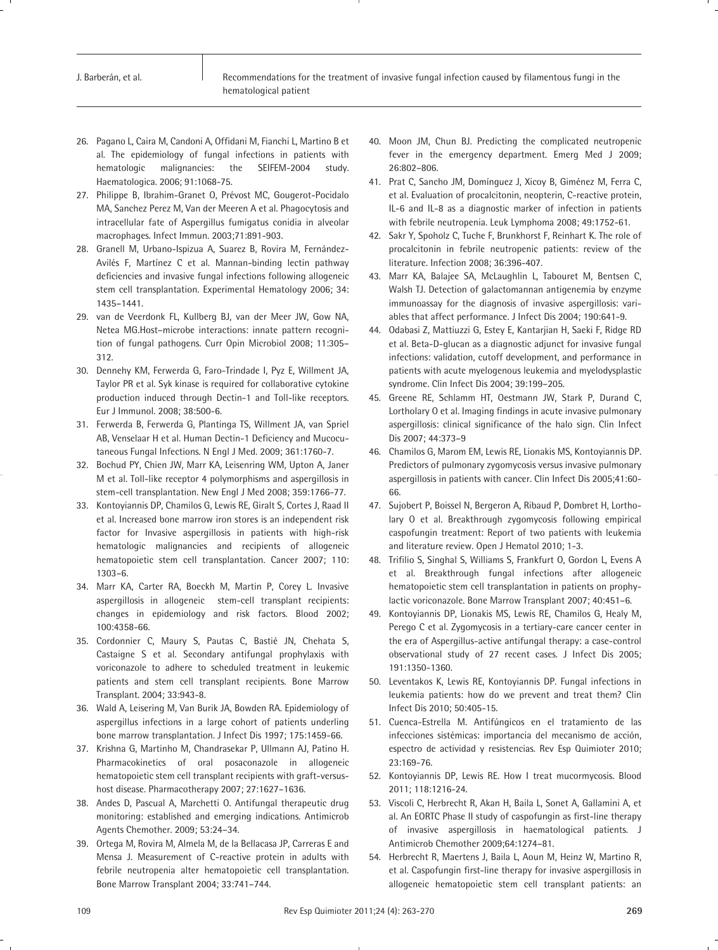- 26. Pagano L, Caira M, Candoni A, Offidani M, Fianchi L, Martino B et al. The epidemiology of fungal infections in patients with hematologic malignancies: the SEIFEM-2004 study. Haematologica. 2006; 91:1068-75.
- 27. Philippe B, Ibrahim-Granet O, Prévost MC, Gougerot-Pocidalo MA, Sanchez Perez M, Van der Meeren A et al. Phagocytosis and intracellular fate of Aspergillus fumigatus conidia in alveolar macrophages. Infect Immun. 2003;71:891-903.
- 28. Granell M, Urbano-Ispizua A, Suarez B, Rovira M, Fernández-Avilés F, Martínez C et al. Mannan-binding lectin pathway deficiencies and invasive fungal infections following allogeneic stem cell transplantation. Experimental Hematology 2006; 34: 1435–1441.
- 29. van de Veerdonk FL, Kullberg BJ, van der Meer JW, Gow NA, Netea MG.Host–microbe interactions: innate pattern recognition of fungal pathogens. Curr Opin Microbiol 2008; 11:305– 312.
- 30. Dennehy KM, Ferwerda G, Faro-Trindade I, Pyz E, Willment JA, Taylor PR et al. Syk kinase is required for collaborative cytokine production induced through Dectin-1 and Toll-like receptors. Eur J Immunol. 2008; 38:500-6.
- 31. Ferwerda B, Ferwerda G, Plantinga TS, Willment JA, van Spriel AB, Venselaar H et al. Human Dectin-1 Deficiency and Mucocutaneous Fungal Infections. N Engl J Med. 2009; 361:1760-7.
- 32. Bochud PY, Chien JW, Marr KA, Leisenring WM, Upton A, Janer M et al. Toll-like receptor 4 polymorphisms and aspergillosis in stem-cell transplantation. New Engl J Med 2008; 359:1766-77.
- 33. Kontoyiannis DP, Chamilos G, Lewis RE, Giralt S, Cortes J, Raad II et al. Increased bone marrow iron stores is an independent risk factor for Invasive aspergillosis in patients with high-risk hematologic malignancies and recipients of allogeneic hematopoietic stem cell transplantation. Cancer 2007; 110: 1303–6.
- 34. Marr KA, Carter RA, Boeckh M, Martin P, Corey L. Invasive aspergillosis in allogeneic stem-cell transplant recipients: changes in epidemiology and risk factors. Blood 2002; 100:4358-66.
- 35. Cordonnier C, Maury S, Pautas C, Bastié JN, Chehata S, Castaigne S et al. Secondary antifungal prophylaxis with voriconazole to adhere to scheduled treatment in leukemic patients and stem cell transplant recipients. Bone Marrow Transplant. 2004; 33:943-8.
- 36. Wald A, Leisering M, Van Burik JA, Bowden RA. Epidemiology of aspergillus infections in a large cohort of patients underling bone marrow transplantation. J Infect Dis 1997; 175:1459-66.
- 37. Krishna G, Martinho M, Chandrasekar P, Ullmann AJ, Patino H. Pharmacokinetics of oral posaconazole in allogeneic hematopoietic stem cell transplant recipients with graft-versushost disease. Pharmacotherapy 2007; 27:1627–1636.
- 38. Andes D, Pascual A, Marchetti O. Antifungal therapeutic drug monitoring: established and emerging indications. Antimicrob Agents Chemother. 2009; 53:24–34.
- 39. Ortega M, Rovira M, Almela M, de la Bellacasa JP, Carreras E and Mensa J. Measurement of C-reactive protein in adults with febrile neutropenia alter hematopoietic cell transplantation. Bone Marrow Transplant 2004; 33:741–744.
- 40. Moon JM, Chun BJ. Predicting the complicated neutropenic fever in the emergency department. Emerg Med J 2009; 26:802–806.
- 41. Prat C, Sancho JM, Domínguez J, Xicoy B, Giménez M, Ferra C, et al. Evaluation of procalcitonin, neopterin, C-reactive protein, IL-6 and IL-8 as a diagnostic marker of infection in patients with febrile neutropenia. Leuk Lymphoma 2008; 49:1752-61.
- 42. Sakr Y, Spoholz C, Tuche F, Brunkhorst F, Reinhart K. The role of procalcitonin in febrile neutropenic patients: review of the literature. Infection 2008; 36:396-407.
- 43. Marr KA, Balajee SA, McLaughlin L, Tabouret M, Bentsen C, Walsh TJ. Detection of galactomannan antigenemia by enzyme immunoassay for the diagnosis of invasive aspergillosis: variables that affect performance. J Infect Dis 2004; 190:641-9.
- 44. Odabasi Z, Mattiuzzi G, Estey E, Kantarjian H, Saeki F, Ridge RD et al. Beta-D-glucan as a diagnostic adjunct for invasive fungal infections: validation, cutoff development, and performance in patients with acute myelogenous leukemia and myelodysplastic syndrome. Clin Infect Dis 2004; 39:199–205.
- 45. Greene RE, Schlamm HT, Oestmann JW, Stark P, Durand C, Lortholary O et al. Imaging findings in acute invasive pulmonary aspergillosis: clinical significance of the halo sign. Clin Infect Dis 2007; 44:373–9
- 46. Chamilos G, Marom EM, Lewis RE, Lionakis MS, Kontoyiannis DP. Predictors of pulmonary zygomycosis versus invasive pulmonary aspergillosis in patients with cancer. Clin Infect Dis 2005;41:60- 66.
- 47. Sujobert P, Boissel N, Bergeron A, Ribaud P, Dombret H, Lortholary O et al. Breakthrough zygomycosis following empirical caspofungin treatment: Report of two patients with leukemia and literature review. Open J Hematol 2010; 1-3.
- 48. Trifilio S, Singhal S, Williams S, Frankfurt O, Gordon L, Evens A et al. Breakthrough fungal infections after allogeneic hematopoietic stem cell transplantation in patients on prophylactic voriconazole. Bone Marrow Transplant 2007; 40:451–6.
- 49. Kontoyiannis DP, Lionakis MS, Lewis RE, Chamilos G, Healy M, Perego C et al. Zygomycosis in a tertiary-care cancer center in the era of Aspergillus-active antifungal therapy: a case-control observational study of 27 recent cases. J Infect Dis 2005; 191:1350-1360.
- 50. Leventakos K, Lewis RE, Kontoyiannis DP. Fungal infections in leukemia patients: how do we prevent and treat them? Clin Infect Dis 2010; 50:405-15.
- 51. Cuenca-Estrella M. Antifúngicos en el tratamiento de las infecciones sistémicas: importancia del mecanismo de acción, espectro de actividad y resistencias. Rev Esp Quimioter 2010; 23:169-76.
- 52. Kontoyiannis DP, Lewis RE. How I treat mucormycosis. Blood 2011; 118:1216-24.
- 53. Viscoli C, Herbrecht R, Akan H, Baila L, Sonet A, Gallamini A, et al. An EORTC Phase II study of caspofungin as first-line therapy of invasive aspergillosis in haematological patients. J Antimicrob Chemother 2009;64:1274–81.
- 54. Herbrecht R, Maertens J, Baila L, Aoun M, Heinz W, Martino R, et al. Caspofungin first-line therapy for invasive aspergillosis in allogeneic hematopoietic stem cell transplant patients: an